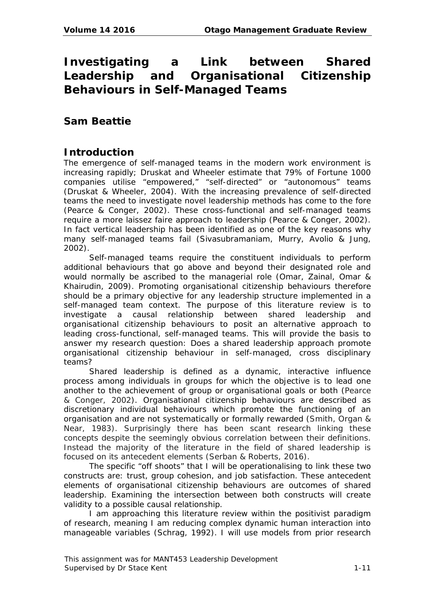# **Investigating a Link between Shared Leadership and Organisational Citizenship Behaviours in Self-Managed Teams**

# **Sam Beattie**

# **Introduction**

The emergence of self-managed teams in the modern work environment is increasing rapidly; Druskat and Wheeler estimate that 79% of Fortune 1000 companies utilise "empowered," "self-directed" or "autonomous" teams (Druskat & Wheeler, 2004). With the increasing prevalence of self-directed teams the need to investigate novel leadership methods has come to the fore (Pearce & Conger, 2002). These cross-functional and self-managed teams require a more laissez faire approach to leadership (Pearce & Conger, 2002). In fact vertical leadership has been identified as one of the key reasons why many self-managed teams fail (Sivasubramaniam, Murry, Avolio & Jung, 2002).

Self-managed teams require the constituent individuals to perform additional behaviours that go above and beyond their designated role and would normally be ascribed to the managerial role (Omar, Zainal, Omar & Khairudin, 2009). Promoting organisational citizenship behaviours therefore should be a primary objective for any leadership structure implemented in a self-managed team context. The purpose of this literature review is to investigate a causal relationship between shared leadership and organisational citizenship behaviours to posit an alternative approach to leading cross-functional, self-managed teams. This will provide the basis to answer my research question: *Does a shared leadership approach promote organisational citizenship behaviour in self-managed, cross disciplinary teams?*

Shared leadership is defined as a dynamic, interactive influence process among individuals in groups for which the objective is to lead one another to the achievement of group or organisational goals or both (Pearce & Conger, 2002). Organisational citizenship behaviours are described as discretionary individual behaviours which promote the functioning of an organisation and are not systematically or formally rewarded (Smith, Organ & Near, 1983). Surprisingly there has been scant research linking these concepts despite the seemingly obvious correlation between their definitions. Instead the majority of the literature in the field of shared leadership is focused on its antecedent elements (Serban & Roberts, 2016).

The specific "off shoots" that I will be operationalising to link these two constructs are: trust, group cohesion, and job satisfaction. These antecedent elements of organisational citizenship behaviours are outcomes of shared leadership. Examining the intersection between both constructs will create validity to a possible causal relationship.

I am approaching this literature review within the positivist paradigm of research, meaning I am reducing complex dynamic human interaction into manageable variables (Schrag, 1992). I will use models from prior research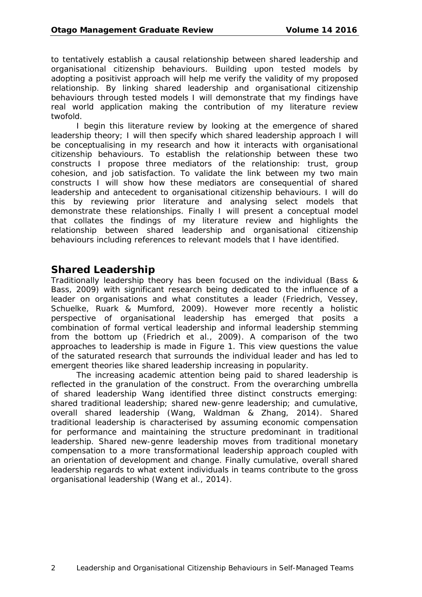to tentatively establish a causal relationship between shared leadership and organisational citizenship behaviours. Building upon tested models by adopting a positivist approach will help me verify the validity of my proposed relationship. By linking shared leadership and organisational citizenship behaviours through tested models I will demonstrate that my findings have real world application making the contribution of my literature review twofold.

I begin this literature review by looking at the emergence of shared leadership theory; I will then specify which shared leadership approach I will be conceptualising in my research and how it interacts with organisational citizenship behaviours. To establish the relationship between these two constructs I propose three mediators of the relationship: trust, group cohesion, and job satisfaction. To validate the link between my two main constructs I will show how these mediators are consequential of shared leadership and antecedent to organisational citizenship behaviours. I will do this by reviewing prior literature and analysing select models that demonstrate these relationships. Finally I will present a conceptual model that collates the findings of my literature review and highlights the relationship between shared leadership and organisational citizenship behaviours including references to relevant models that I have identified.

#### **Shared Leadership**

Traditionally leadership theory has been focused on the individual (Bass & Bass, 2009) with significant research being dedicated to the influence of a leader on organisations and what constitutes a leader (Friedrich, Vessey, Schuelke, Ruark & Mumford, 2009). However more recently a holistic perspective of organisational leadership has emerged that posits a combination of formal vertical leadership and informal leadership stemming from the bottom up (Friedrich et al., 2009). A comparison of the two approaches to leadership is made in Figure 1. This view questions the value of the saturated research that surrounds the individual leader and has led to emergent theories like shared leadership increasing in popularity.

The increasing academic attention being paid to shared leadership is reflected in the granulation of the construct. From the overarching umbrella of shared leadership Wang identified three distinct constructs emerging: shared traditional leadership; shared new-genre leadership; and cumulative, overall shared leadership (Wang, Waldman & Zhang, 2014). Shared traditional leadership is characterised by assuming economic compensation for performance and maintaining the structure predominant in traditional leadership. Shared new-genre leadership moves from traditional monetary compensation to a more transformational leadership approach coupled with an orientation of development and change. Finally cumulative, overall shared leadership regards to what extent individuals in teams contribute to the gross organisational leadership (Wang et al., 2014).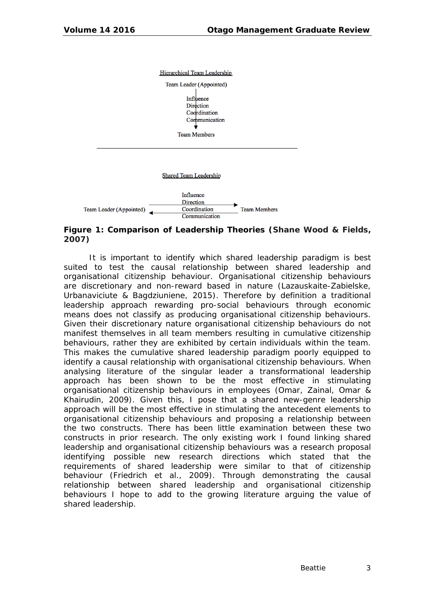

#### **Figure 1: Comparison of Leadership Theories (Shane Wood & Fields, 2007)**

It is important to identify which shared leadership paradigm is best suited to test the causal relationship between shared leadership and organisational citizenship behaviour. Organisational citizenship behaviours are discretionary and non-reward based in nature (Lazauskaite-Zabielske, Urbanaviciute & Bagdziuniene, 2015). Therefore by definition a traditional leadership approach rewarding pro-social behaviours through economic means does not classify as producing organisational citizenship behaviours. Given their discretionary nature organisational citizenship behaviours do not manifest themselves in all team members resulting in cumulative citizenship behaviours, rather they are exhibited by certain individuals within the team. This makes the cumulative shared leadership paradigm poorly equipped to identify a causal relationship with organisational citizenship behaviours. When analysing literature of the singular leader a transformational leadership approach has been shown to be the most effective in stimulating organisational citizenship behaviours in employees (Omar, Zainal, Omar & Khairudin, 2009). Given this, I pose that a shared new-genre leadership approach will be the most effective in stimulating the antecedent elements to organisational citizenship behaviours and proposing a relationship between the two constructs. There has been little examination between these two constructs in prior research. The only existing work I found linking shared leadership and organisational citizenship behaviours was a research proposal identifying possible new research directions which stated that the requirements of shared leadership were similar to that of citizenship behaviour (Friedrich et al., 2009). Through demonstrating the causal relationship between shared leadership and organisational citizenship behaviours I hope to add to the growing literature arguing the value of shared leadership.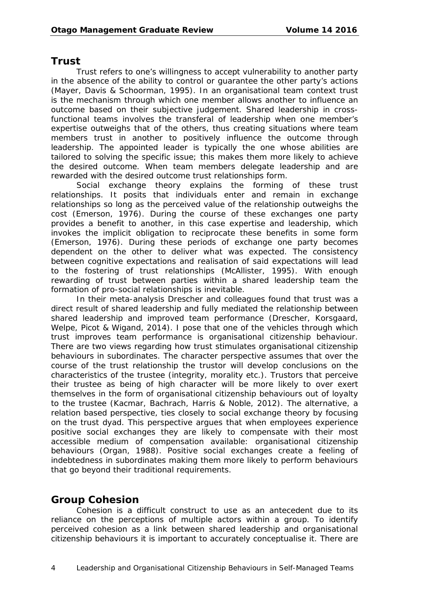#### **Trust**

Trust refers to one's willingness to accept vulnerability to another party in the absence of the ability to control or guarantee the other party's actions (Mayer, Davis & Schoorman, 1995). In an organisational team context trust is the mechanism through which one member allows another to influence an outcome based on their subjective judgement. Shared leadership in crossfunctional teams involves the transferal of leadership when one member's expertise outweighs that of the others, thus creating situations where team members trust in another to positively influence the outcome through leadership. The appointed leader is typically the one whose abilities are tailored to solving the specific issue; this makes them more likely to achieve the desired outcome. When team members delegate leadership and are rewarded with the desired outcome trust relationships form.

Social exchange theory explains the forming of these trust relationships. It posits that individuals enter and remain in exchange relationships so long as the perceived value of the relationship outweighs the cost (Emerson, 1976). During the course of these exchanges one party provides a benefit to another, in this case expertise and leadership, which invokes the implicit obligation to reciprocate these benefits in some form (Emerson, 1976). During these periods of exchange one party becomes dependent on the other to deliver what was expected. The consistency between cognitive expectations and realisation of said expectations will lead to the fostering of trust relationships (McAllister, 1995). With enough rewarding of trust between parties within a shared leadership team the formation of pro-social relationships is inevitable.

In their meta-analysis Drescher and colleagues found that trust was a direct result of shared leadership and fully mediated the relationship between shared leadership and improved team performance (Drescher, Korsgaard, Welpe, Picot & Wigand, 2014). I pose that one of the vehicles through which trust improves team performance is organisational citizenship behaviour. There are two views regarding how trust stimulates organisational citizenship behaviours in subordinates. The character perspective assumes that over the course of the trust relationship the trustor will develop conclusions on the characteristics of the trustee (integrity, morality etc.). Trustors that perceive their trustee as being of high character will be more likely to over exert themselves in the form of organisational citizenship behaviours out of loyalty to the trustee (Kacmar, Bachrach, Harris & Noble, 2012). The alternative, a relation based perspective, ties closely to social exchange theory by focusing on the trust dyad. This perspective argues that when employees experience positive social exchanges they are likely to compensate with their most accessible medium of compensation available: organisational citizenship behaviours (Organ, 1988). Positive social exchanges create a feeling of indebtedness in subordinates making them more likely to perform behaviours that go beyond their traditional requirements.

# **Group Cohesion**

Cohesion is a difficult construct to use as an antecedent due to its reliance on the perceptions of multiple actors within a group. To identify perceived cohesion as a link between shared leadership and organisational citizenship behaviours it is important to accurately conceptualise it. There are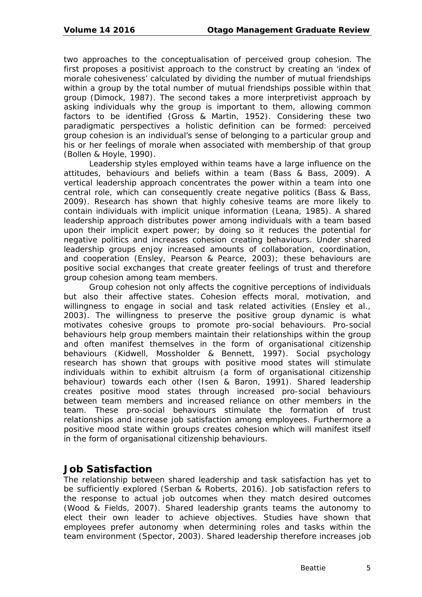two approaches to the conceptualisation of perceived group cohesion. The first proposes a positivist approach to the construct by creating an 'index of morale cohesiveness' calculated by dividing the number of mutual friendships within a group by the total number of mutual friendships possible within that group (Dimock, 1987). The second takes a more interpretivist approach by asking individuals why the group is important to them, allowing common factors to be identified (Gross & Martin, 1952). Considering these two paradigmatic perspectives a holistic definition can be formed: perceived group cohesion is an individual's sense of belonging to a particular group and his or her feelings of morale when associated with membership of that group (Bollen & Hoyle, 1990).

Leadership styles employed within teams have a large influence on the attitudes, behaviours and beliefs within a team (Bass & Bass, 2009). A vertical leadership approach concentrates the power within a team into one central role, which can consequently create negative politics (Bass & Bass, 2009). Research has shown that highly cohesive teams are more likely to contain individuals with implicit unique information (Leana, 1985). A shared leadership approach distributes power among individuals with a team based upon their implicit expert power; by doing so it reduces the potential for negative politics and increases cohesion creating behaviours. Under shared leadership groups enjoy increased amounts of collaboration, coordination, and cooperation (Ensley, Pearson & Pearce, 2003); these behaviours are positive social exchanges that create greater feelings of trust and therefore group cohesion among team members.

Group cohesion not only affects the cognitive perceptions of individuals but also their affective states. Cohesion effects moral, motivation, and willingness to engage in social and task related activities (Ensley et al., 2003). The willingness to preserve the positive group dynamic is what motivates cohesive groups to promote pro-social behaviours. Pro-social behaviours help group members maintain their relationships within the group and often manifest themselves in the form of organisational citizenship behaviours (Kidwell, Mossholder & Bennett, 1997). Social psychology research has shown that groups with positive mood states will stimulate individuals within to exhibit altruism (a form of organisational citizenship behaviour) towards each other (Isen & Baron, 1991). Shared leadership creates positive mood states through increased pro-social behaviours between team members and increased reliance on other members in the team. These pro-social behaviours stimulate the formation of trust relationships and increase job satisfaction among employees. Furthermore a positive mood state within groups creates cohesion which will manifest itself in the form of organisational citizenship behaviours.

### **Job Satisfaction**

The relationship between shared leadership and task satisfaction has yet to be sufficiently explored (Serban & Roberts, 2016). Job satisfaction refers to the response to actual job outcomes when they match desired outcomes (Wood & Fields, 2007). Shared leadership grants teams the autonomy to elect their own leader to achieve objectives. Studies have shown that employees prefer autonomy when determining roles and tasks within the team environment (Spector, 2003). Shared leadership therefore increases job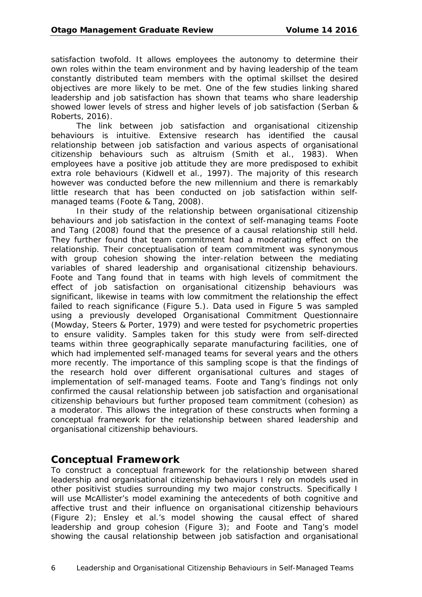satisfaction twofold. It allows employees the autonomy to determine their own roles within the team environment and by having leadership of the team constantly distributed team members with the optimal skillset the desired objectives are more likely to be met. One of the few studies linking shared leadership and job satisfaction has shown that teams who share leadership showed lower levels of stress and higher levels of job satisfaction (Serban & Roberts, 2016).

The link between job satisfaction and organisational citizenship behaviours is intuitive. Extensive research has identified the causal relationship between job satisfaction and various aspects of organisational citizenship behaviours such as altruism (Smith et al., 1983). When employees have a positive job attitude they are more predisposed to exhibit extra role behaviours (Kidwell et al., 1997). The majority of this research however was conducted before the new millennium and there is remarkably little research that has been conducted on job satisfaction within selfmanaged teams (Foote & Tang, 2008).

In their study of the relationship between organisational citizenship behaviours and job satisfaction in the context of self-managing teams Foote and Tang (2008) found that the presence of a causal relationship still held. They further found that team commitment had a moderating effect on the relationship. Their conceptualisation of team commitment was synonymous with group cohesion showing the inter-relation between the mediating variables of shared leadership and organisational citizenship behaviours. Foote and Tang found that in teams with high levels of commitment the effect of job satisfaction on organisational citizenship behaviours was significant, likewise in teams with low commitment the relationship the effect failed to reach significance (Figure 5.). Data used in Figure 5 was sampled using a previously developed Organisational Commitment Questionnaire (Mowday, Steers & Porter, 1979) and were tested for psychometric properties to ensure validity. Samples taken for this study were from self-directed teams within three geographically separate manufacturing facilities, one of which had implemented self-managed teams for several years and the others more recently. The importance of this sampling scope is that the findings of the research hold over different organisational cultures and stages of implementation of self-managed teams. Foote and Tang's findings not only confirmed the causal relationship between job satisfaction and organisational citizenship behaviours but further proposed team commitment (cohesion) as a moderator. This allows the integration of these constructs when forming a conceptual framework for the relationship between shared leadership and organisational citizenship behaviours.

### **Conceptual Framework**

To construct a conceptual framework for the relationship between shared leadership and organisational citizenship behaviours I rely on models used in other positivist studies surrounding my two major constructs. Specifically I will use McAllister's model examining the antecedents of both cognitive and affective trust and their influence on organisational citizenship behaviours (Figure 2); Ensley et al.'s model showing the causal effect of shared leadership and group cohesion (Figure 3); and Foote and Tang's model showing the causal relationship between job satisfaction and organisational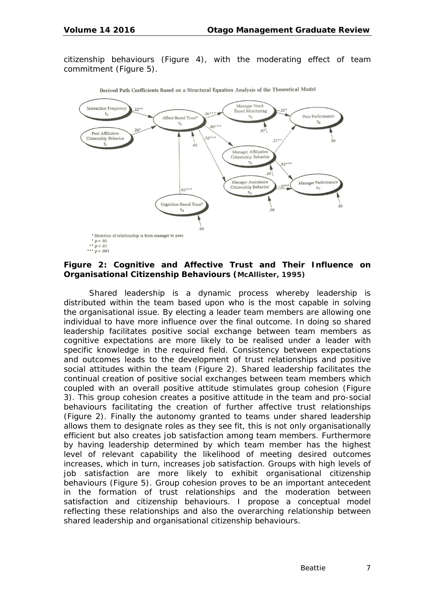citizenship behaviours (Figure 4), with the moderating effect of team commitment (Figure 5).



Derived Path Coefficients Based on a Structural Equation Analysis of the Theoretical Model

#### **Figure 2: Cognitive and Affective Trust and Their Influence on Organisational Citizenship Behaviours (McAllister, 1995)**

Shared leadership is a dynamic process whereby leadership is distributed within the team based upon who is the most capable in solving the organisational issue. By electing a leader team members are allowing one individual to have more influence over the final outcome. In doing so shared leadership facilitates positive social exchange between team members as cognitive expectations are more likely to be realised under a leader with specific knowledge in the required field. Consistency between expectations and outcomes leads to the development of trust relationships and positive social attitudes within the team (Figure 2). Shared leadership facilitates the continual creation of positive social exchanges between team members which coupled with an overall positive attitude stimulates group cohesion (Figure 3). This group cohesion creates a positive attitude in the team and pro-social behaviours facilitating the creation of further affective trust relationships (Figure 2). Finally the autonomy granted to teams under shared leadership allows them to designate roles as they see fit, this is not only organisationally efficient but also creates job satisfaction among team members. Furthermore by having leadership determined by which team member has the highest level of relevant capability the likelihood of meeting desired outcomes increases, which in turn, increases job satisfaction. Groups with high levels of job satisfaction are more likely to exhibit organisational citizenship behaviours (Figure 5). Group cohesion proves to be an important antecedent in the formation of trust relationships and the moderation between satisfaction and citizenship behaviours. I propose a conceptual model reflecting these relationships and also the overarching relationship between shared leadership and organisational citizenship behaviours.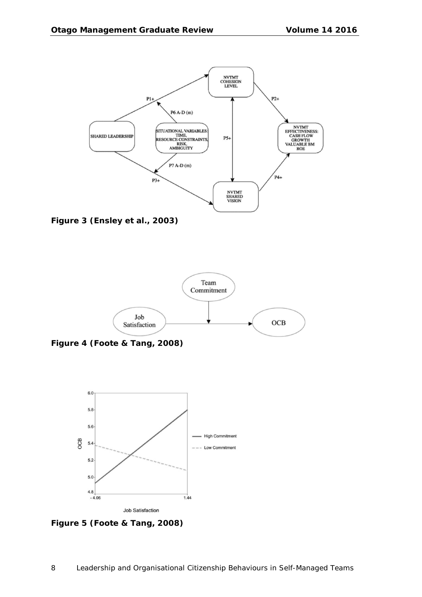

**Figure 3 (Ensley et al., 2003)**



**Figure 4 (Foote & Tang, 2008)**



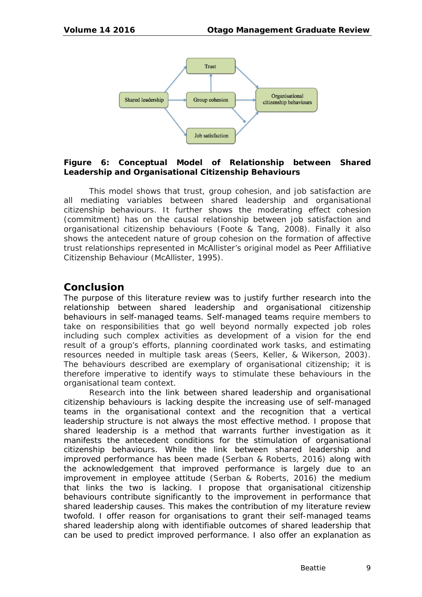

#### **Figure 6: Conceptual Model of Relationship between Shared Leadership and Organisational Citizenship Behaviours**

This model shows that trust, group cohesion, and job satisfaction are all mediating variables between shared leadership and organisational citizenship behaviours. It further shows the moderating effect cohesion (commitment) has on the causal relationship between job satisfaction and organisational citizenship behaviours (Foote & Tang, 2008). Finally it also shows the antecedent nature of group cohesion on the formation of affective trust relationships represented in McAllister's original model as Peer Affiliative Citizenship Behaviour (McAllister, 1995).

### **Conclusion**

The purpose of this literature review was to justify further research into the relationship between shared leadership and organisational citizenship behaviours in self-managed teams. Self-managed teams require members to take on responsibilities that go well beyond normally expected job roles including such complex activities as development of a vision for the end result of a group's efforts, planning coordinated work tasks, and estimating resources needed in multiple task areas (Seers, Keller, & Wikerson, 2003). The behaviours described are exemplary of organisational citizenship; it is therefore imperative to identify ways to stimulate these behaviours in the organisational team context.

Research into the link between shared leadership and organisational citizenship behaviours is lacking despite the increasing use of self-managed teams in the organisational context and the recognition that a vertical leadership structure is not always the most effective method. I propose that shared leadership is a method that warrants further investigation as it manifests the antecedent conditions for the stimulation of organisational citizenship behaviours. While the link between shared leadership and improved performance has been made (Serban & Roberts, 2016) along with the acknowledgement that improved performance is largely due to an improvement in employee attitude (Serban & Roberts, 2016) the medium that links the two is lacking. I propose that organisational citizenship behaviours contribute significantly to the improvement in performance that shared leadership causes. This makes the contribution of my literature review twofold. I offer reason for organisations to grant their self-managed teams shared leadership along with identifiable outcomes of shared leadership that can be used to predict improved performance. I also offer an explanation as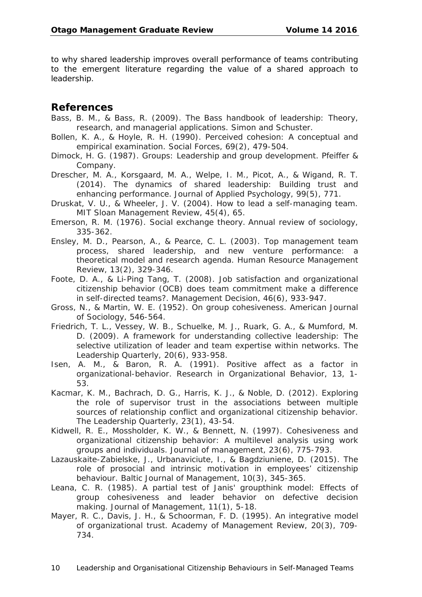to why shared leadership improves overall performance of teams contributing to the emergent literature regarding the value of a shared approach to leadership.

#### **References**

- Bass, B. M., & Bass, R. (2009). *The Bass handbook of leadership: Theory, research, and managerial applications*. Simon and Schuster.
- Bollen, K. A., & Hoyle, R. H. (1990). Perceived cohesion: A conceptual and empirical examination. *Social Forces*, *69*(2), 479-504.
- Dimock, H. G. (1987). *Groups: Leadership and group development*. Pfeiffer & Company.
- Drescher, M. A., Korsgaard, M. A., Welpe, I. M., Picot, A., & Wigand, R. T. (2014). The dynamics of shared leadership: Building trust and enhancing performance. *Journal of Applied Psychology*, *99*(5), 771.
- Druskat, V. U., & Wheeler, J. V. (2004). How to lead a self-managing team. *MIT Sloan Management Review*, *45*(4), 65.
- Emerson, R. M. (1976). Social exchange theory. *Annual review of sociology*, 335-362.
- Ensley, M. D., Pearson, A., & Pearce, C. L. (2003). Top management team process, shared leadership, and new venture performance: a theoretical model and research agenda. *Human Resource Management Review*, *13*(2), 329-346.
- Foote, D. A., & Li-Ping Tang, T. (2008). Job satisfaction and organizational citizenship behavior (OCB) does team commitment make a difference in self-directed teams?. *Management Decision*, *46*(6), 933-947.
- Gross, N., & Martin, W. E. (1952). On group cohesiveness. *American Journal of Sociology*, 546-564.
- Friedrich, T. L., Vessey, W. B., Schuelke, M. J., Ruark, G. A., & Mumford, M. D. (2009). A framework for understanding collective leadership: The selective utilization of leader and team expertise within networks. *The Leadership Quarterly*, *20*(6), 933-958.
- Isen, A. M., & Baron, R. A. (1991). Positive affect as a factor in organizational-behavior. *Research in Organizational Behavior*, *13*, 1- 53.
- Kacmar, K. M., Bachrach, D. G., Harris, K. J., & Noble, D. (2012). Exploring the role of supervisor trust in the associations between multiple sources of relationship conflict and organizational citizenship behavior. *The Leadership Quarterly*, *23*(1), 43-54.
- Kidwell, R. E., Mossholder, K. W., & Bennett, N. (1997). Cohesiveness and organizational citizenship behavior: A multilevel analysis using work groups and individuals. *Journal of management*, *23*(6), 775-793.
- Lazauskaite-Zabielske, J., Urbanaviciute, I., & Bagdziuniene, D. (2015). The role of prosocial and intrinsic motivation in employees' citizenship behaviour. *Baltic Journal of Management*, *10*(3), 345-365.
- Leana, C. R. (1985). A partial test of Janis' groupthink model: Effects of group cohesiveness and leader behavior on defective decision making. *Journal of Management*, *11*(1), 5-18.
- Mayer, R. C., Davis, J. H., & Schoorman, F. D. (1995). An integrative model of organizational trust. *Academy of Management Review*, *20*(3), 709- 734.